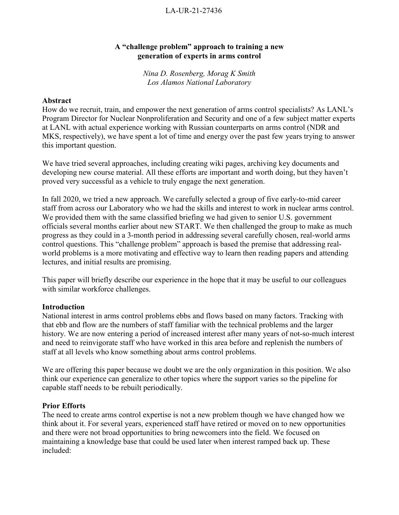## LA-UR-21-27436

## **A "challenge problem" approach to training a new generation of experts in arms control**

*Nina D. Rosenberg, Morag K Smith Los Alamos National Laboratory*

### **Abstract**

How do we recruit, train, and empower the next generation of arms control specialists? As LANL's Program Director for Nuclear Nonproliferation and Security and one of a few subject matter experts at LANL with actual experience working with Russian counterparts on arms control (NDR and MKS, respectively), we have spent a lot of time and energy over the past few years trying to answer this important question.

We have tried several approaches, including creating wiki pages, archiving key documents and developing new course material. All these efforts are important and worth doing, but they haven't proved very successful as a vehicle to truly engage the next generation.

In fall 2020, we tried a new approach. We carefully selected a group of five early-to-mid career staff from across our Laboratory who we had the skills and interest to work in nuclear arms control. We provided them with the same classified briefing we had given to senior U.S. government officials several months earlier about new START. We then challenged the group to make as much progress as they could in a 3-month period in addressing several carefully chosen, real-world arms control questions. This "challenge problem" approach is based the premise that addressing realworld problems is a more motivating and effective way to learn then reading papers and attending lectures, and initial results are promising.

This paper will briefly describe our experience in the hope that it may be useful to our colleagues with similar workforce challenges.

### **Introduction**

National interest in arms control problems ebbs and flows based on many factors. Tracking with that ebb and flow are the numbers of staff familiar with the technical problems and the larger history. We are now entering a period of increased interest after many years of not-so-much interest and need to reinvigorate staff who have worked in this area before and replenish the numbers of staff at all levels who know something about arms control problems.

We are offering this paper because we doubt we are the only organization in this position. We also think our experience can generalize to other topics where the support varies so the pipeline for capable staff needs to be rebuilt periodically.

### **Prior Efforts**

The need to create arms control expertise is not a new problem though we have changed how we think about it. For several years, experienced staff have retired or moved on to new opportunities and there were not broad opportunities to bring newcomers into the field. We focused on maintaining a knowledge base that could be used later when interest ramped back up. These included: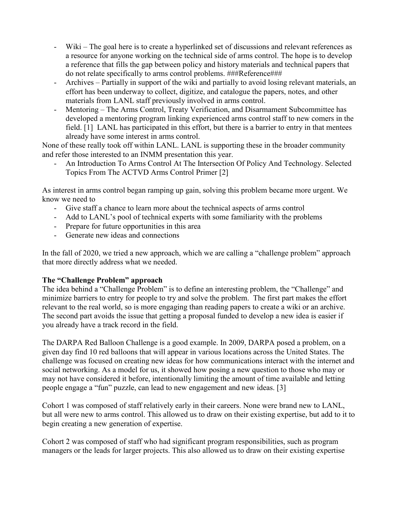- Wiki The goal here is to create a hyperlinked set of discussions and relevant references as a resource for anyone working on the technical side of arms control. The hope is to develop a reference that fills the gap between policy and history materials and technical papers that do not relate specifically to arms control problems. ###Reference###
- Archives Partially in support of the wiki and partially to avoid losing relevant materials, an effort has been underway to collect, digitize, and catalogue the papers, notes, and other materials from LANL staff previously involved in arms control.
- Mentoring The Arms Control, Treaty Verification, and Disarmament Subcommittee has developed a mentoring program linking experienced arms control staff to new comers in the field. [1] LANL has participated in this effort, but there is a barrier to entry in that mentees already have some interest in arms control.

None of these really took off within LANL. LANL is supporting these in the broader community and refer those interested to an INMM presentation this year.

- An Introduction To Arms Control At The Intersection Of Policy And Technology. Selected Topics From The ACTVD Arms Control Primer [2]

As interest in arms control began ramping up gain, solving this problem became more urgent. We know we need to

- Give staff a chance to learn more about the technical aspects of arms control
- Add to LANL's pool of technical experts with some familiarity with the problems
- Prepare for future opportunities in this area
- Generate new ideas and connections

In the fall of 2020, we tried a new approach, which we are calling a "challenge problem" approach that more directly address what we needed.

# **The "Challenge Problem" approach**

The idea behind a "Challenge Problem" is to define an interesting problem, the "Challenge" and minimize barriers to entry for people to try and solve the problem. The first part makes the effort relevant to the real world, so is more engaging than reading papers to create a wiki or an archive. The second part avoids the issue that getting a proposal funded to develop a new idea is easier if you already have a track record in the field.

The DARPA Red Balloon Challenge is a good example. In 2009, DARPA posed a problem, on a given day find 10 red balloons that will appear in various locations across the United States. The challenge was focused on creating new ideas for how communications interact with the internet and social networking. As a model for us, it showed how posing a new question to those who may or may not have considered it before, intentionally limiting the amount of time available and letting people engage a "fun" puzzle, can lead to new engagement and new ideas. [3]

Cohort 1 was composed of staff relatively early in their careers. None were brand new to LANL, but all were new to arms control. This allowed us to draw on their existing expertise, but add to it to begin creating a new generation of expertise.

Cohort 2 was composed of staff who had significant program responsibilities, such as program managers or the leads for larger projects. This also allowed us to draw on their existing expertise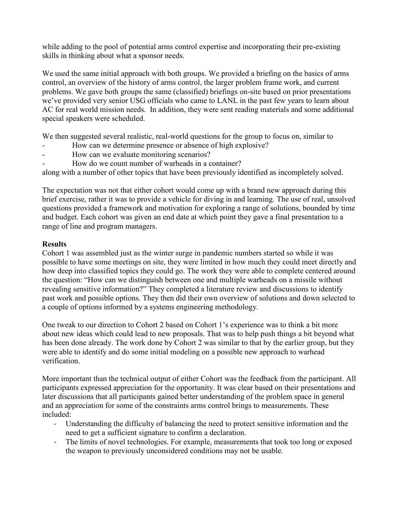while adding to the pool of potential arms control expertise and incorporating their pre-existing skills in thinking about what a sponsor needs.

We used the same initial approach with both groups. We provided a briefing on the basics of arms control, an overview of the history of arms control, the larger problem frame work, and current problems. We gave both groups the same (classified) briefings on-site based on prior presentations we've provided very senior USG officials who came to LANL in the past few years to learn about AC for real world mission needs. In addition, they were sent reading materials and some additional special speakers were scheduled.

We then suggested several realistic, real-world questions for the group to focus on, similar to

- How can we determine presence or absence of high explosive?
- How can we evaluate monitoring scenarios?
- How do we count number of warheads in a container?

along with a number of other topics that have been previously identified as incompletely solved.

The expectation was not that either cohort would come up with a brand new approach during this brief exercise, rather it was to provide a vehicle for diving in and learning. The use of real, unsolved questions provided a framework and motivation for exploring a range of solutions, bounded by time and budget. Each cohort was given an end date at which point they gave a final presentation to a range of line and program managers.

# **Results**

Cohort 1 was assembled just as the winter surge in pandemic numbers started so while it was possible to have some meetings on site, they were limited in how much they could meet directly and how deep into classified topics they could go. The work they were able to complete centered around the question: "How can we distinguish between one and multiple warheads on a missile without revealing sensitive information?" They completed a literature review and discussions to identify past work and possible options. They then did their own overview of solutions and down selected to a couple of options informed by a systems engineering methodology.

One tweak to our direction to Cohort 2 based on Cohort 1's experience was to think a bit more about new ideas which could lead to new proposals. That was to help push things a bit beyond what has been done already. The work done by Cohort 2 was similar to that by the earlier group, but they were able to identify and do some initial modeling on a possible new approach to warhead verification.

More important than the technical output of either Cohort was the feedback from the participant. All participants expressed appreciation for the opportunity. It was clear based on their presentations and later discussions that all participants gained better understanding of the problem space in general and an appreciation for some of the constraints arms control brings to measurements. These included:

- Understanding the difficulty of balancing the need to protect sensitive information and the need to get a sufficient signature to confirm a declaration.
- The limits of novel technologies. For example, measurements that took too long or exposed the weapon to previously unconsidered conditions may not be usable.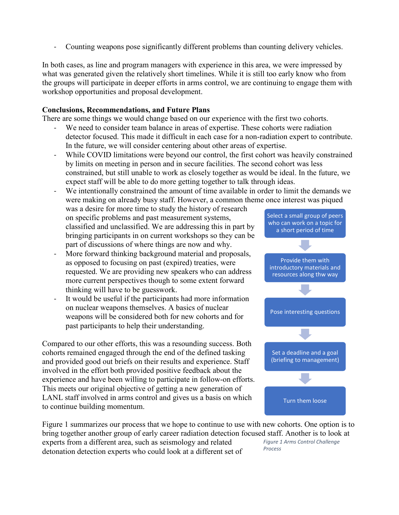- Counting weapons pose significantly different problems than counting delivery vehicles.

In both cases, as line and program managers with experience in this area, we were impressed by what was generated given the relatively short timelines. While it is still too early know who from the groups will participate in deeper efforts in arms control, we are continuing to engage them with workshop opportunities and proposal development.

## **Conclusions, Recommendations, and Future Plans**

There are some things we would change based on our experience with the first two cohorts.

- We need to consider team balance in areas of expertise. These cohorts were radiation detector focused. This made it difficult in each case for a non-radiation expert to contribute. In the future, we will consider centering about other areas of expertise.
- While COVID limitations were beyond our control, the first cohort was heavily constrained by limits on meeting in person and in secure facilities. The second cohort was less constrained, but still unable to work as closely together as would be ideal. In the future, we expect staff will be able to do more getting together to talk through ideas.

We intentionally constrained the amount of time available in order to limit the demands we were making on already busy staff. However, a common theme once interest was piqued

was a desire for more time to study the history of research on specific problems and past measurement systems, classified and unclassified. We are addressing this in part by bringing participants in on current workshops so they can be part of discussions of where things are now and why.

- More forward thinking background material and proposals, as opposed to focusing on past (expired) treaties, were requested. We are providing new speakers who can address more current perspectives though to some extent forward thinking will have to be guesswork.
- It would be useful if the participants had more information on nuclear weapons themselves. A basics of nuclear weapons will be considered both for new cohorts and for past participants to help their understanding.

Compared to our other efforts, this was a resounding success. Both cohorts remained engaged through the end of the defined tasking and provided good out briefs on their results and experience. Staff involved in the effort both provided positive feedback about the experience and have been willing to participate in follow-on efforts. This meets our original objective of getting a new generation of LANL staff involved in arms control and gives us a basis on which to continue building momentum.

Select a small group of peers who can work on a topic for a short period of time Provide them with introductory materials and resources along thw way Pose interesting questions Set a deadline and a goal (briefing to management) Turn them loose

Figure 1 summarizes our process that we hope to continue to use with new cohorts. One option is to bring together another group of early career radiation detection focused staff. Another is to look at

experts from a different area, such as seismology and related detonation detection experts who could look at a different set of *Figure 1 Arms Control Challenge Process*